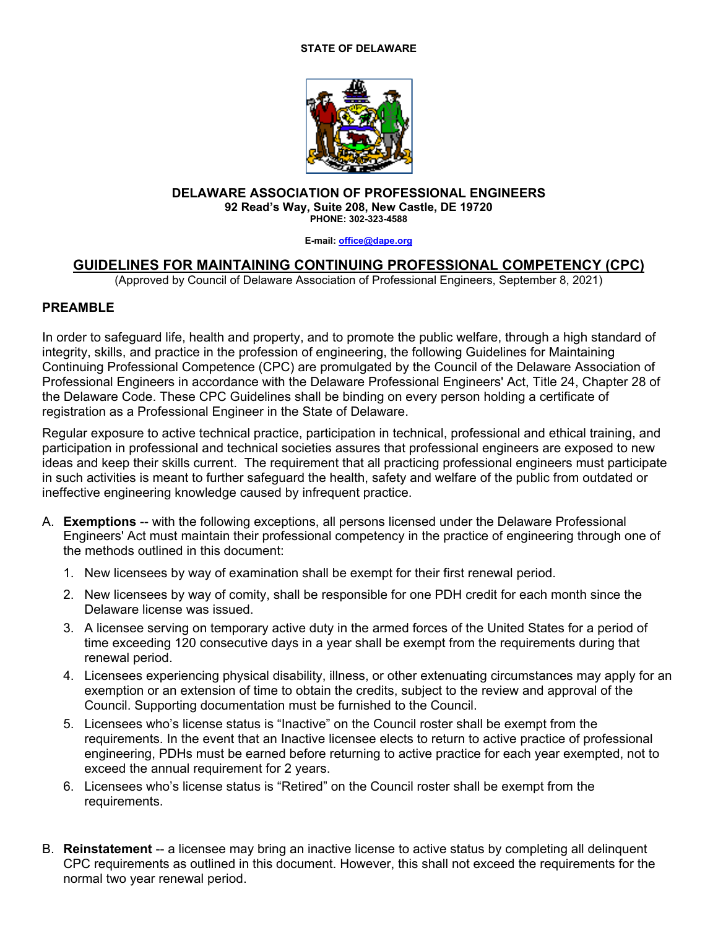## **STATE OF DELAWARE**



## **DELAWARE ASSOCIATION OF PROFESSIONAL ENGINEERS 92 Read's Way, Suite 208, New Castle, DE 19720 PHONE: 302-323-4588**

**E-mail: office@dape.org**

## **GUIDELINES FOR MAINTAINING CONTINUING PROFESSIONAL COMPETENCY (CPC)**

(Approved by Council of Delaware Association of Professional Engineers, September 8, 2021)

## **PREAMBLE**

In order to safeguard life, health and property, and to promote the public welfare, through a high standard of integrity, skills, and practice in the profession of engineering, the following Guidelines for Maintaining Continuing Professional Competence (CPC) are promulgated by the Council of the Delaware Association of Professional Engineers in accordance with the Delaware Professional Engineers' Act, Title 24, Chapter 28 of the Delaware Code. These CPC Guidelines shall be binding on every person holding a certificate of registration as a Professional Engineer in the State of Delaware.

Regular exposure to active technical practice, participation in technical, professional and ethical training, and participation in professional and technical societies assures that professional engineers are exposed to new ideas and keep their skills current. The requirement that all practicing professional engineers must participate in such activities is meant to further safeguard the health, safety and welfare of the public from outdated or ineffective engineering knowledge caused by infrequent practice.

- A. **Exemptions** -- with the following exceptions, all persons licensed under the Delaware Professional Engineers' Act must maintain their professional competency in the practice of engineering through one of the methods outlined in this document:
	- 1. New licensees by way of examination shall be exempt for their first renewal period.
	- 2. New licensees by way of comity, shall be responsible for one PDH credit for each month since the Delaware license was issued.
	- 3. A licensee serving on temporary active duty in the armed forces of the United States for a period of time exceeding 120 consecutive days in a year shall be exempt from the requirements during that renewal period.
	- 4. Licensees experiencing physical disability, illness, or other extenuating circumstances may apply for an exemption or an extension of time to obtain the credits, subject to the review and approval of the Council. Supporting documentation must be furnished to the Council.
	- 5. Licensees who's license status is "Inactive" on the Council roster shall be exempt from the requirements. In the event that an Inactive licensee elects to return to active practice of professional engineering, PDHs must be earned before returning to active practice for each year exempted, not to exceed the annual requirement for 2 years.
	- 6. Licensees who's license status is "Retired" on the Council roster shall be exempt from the requirements.
- B. **Reinstatement** -- a licensee may bring an inactive license to active status by completing all delinquent CPC requirements as outlined in this document. However, this shall not exceed the requirements for the normal two year renewal period.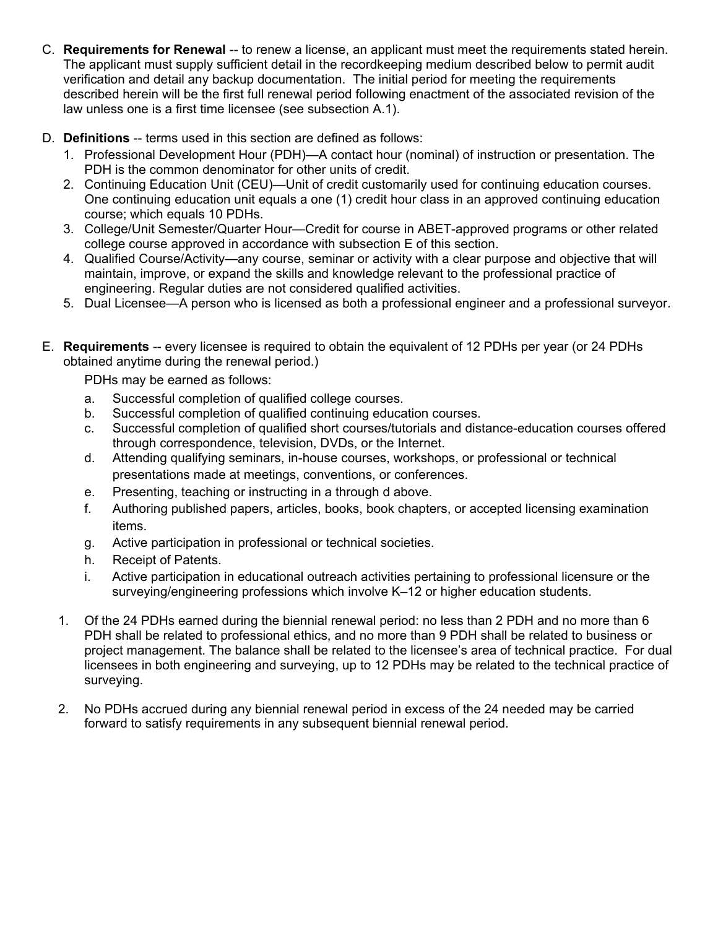- C. **Requirements for Renewal** -- to renew a license, an applicant must meet the requirements stated herein. The applicant must supply sufficient detail in the recordkeeping medium described below to permit audit verification and detail any backup documentation. The initial period for meeting the requirements described herein will be the first full renewal period following enactment of the associated revision of the law unless one is a first time licensee (see subsection A.1).
- D. **Definitions** -- terms used in this section are defined as follows:
	- 1. Professional Development Hour (PDH)—A contact hour (nominal) of instruction or presentation. The PDH is the common denominator for other units of credit.
	- 2. Continuing Education Unit (CEU)—Unit of credit customarily used for continuing education courses. One continuing education unit equals a one (1) credit hour class in an approved continuing education course; which equals 10 PDHs.
	- 3. College/Unit Semester/Quarter Hour—Credit for course in ABET-approved programs or other related college course approved in accordance with subsection E of this section.
	- 4. Qualified Course/Activity—any course, seminar or activity with a clear purpose and objective that will maintain, improve, or expand the skills and knowledge relevant to the professional practice of engineering. Regular duties are not considered qualified activities.
	- 5. Dual Licensee—A person who is licensed as both a professional engineer and a professional surveyor.
- E. **Requirements** -- every licensee is required to obtain the equivalent of 12 PDHs per year (or 24 PDHs obtained anytime during the renewal period.)

PDHs may be earned as follows:

- a. Successful completion of qualified college courses.
- b. Successful completion of qualified continuing education courses.
- c. Successful completion of qualified short courses/tutorials and distance-education courses offered through correspondence, television, DVDs, or the Internet.
- d. Attending qualifying seminars, in-house courses, workshops, or professional or technical presentations made at meetings, conventions, or conferences.
- e. Presenting, teaching or instructing in a through d above.
- f. Authoring published papers, articles, books, book chapters, or accepted licensing examination items.
- g. Active participation in professional or technical societies.
- h. Receipt of Patents.
- i. Active participation in educational outreach activities pertaining to professional licensure or the surveying/engineering professions which involve K–12 or higher education students.
- 1. Of the 24 PDHs earned during the biennial renewal period: no less than 2 PDH and no more than 6 PDH shall be related to professional ethics, and no more than 9 PDH shall be related to business or project management. The balance shall be related to the licensee's area of technical practice. For dual licensees in both engineering and surveying, up to 12 PDHs may be related to the technical practice of surveying.
- 2. No PDHs accrued during any biennial renewal period in excess of the 24 needed may be carried forward to satisfy requirements in any subsequent biennial renewal period.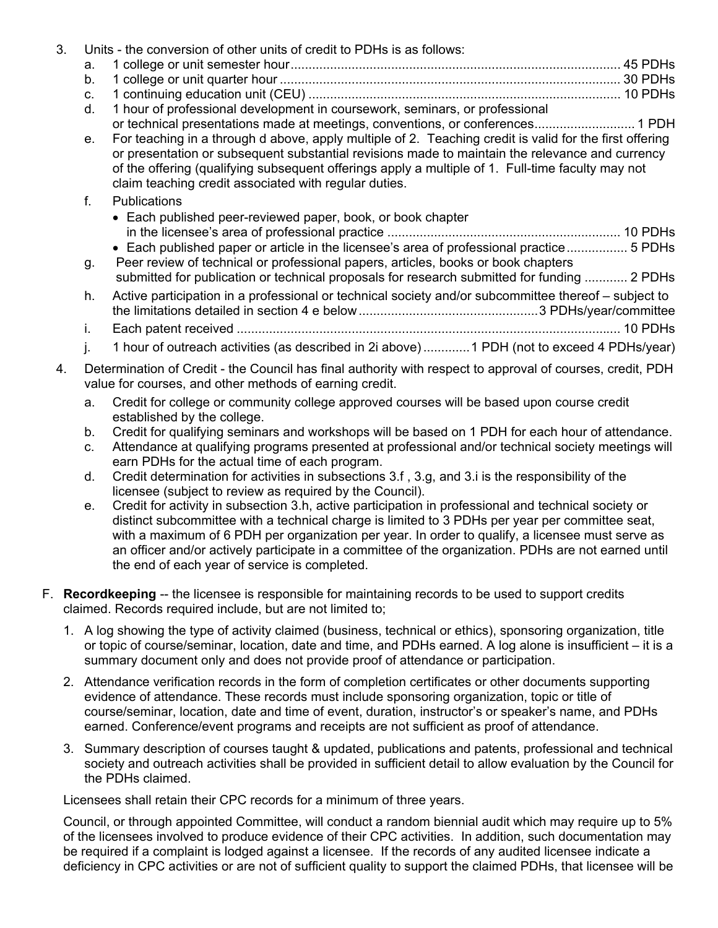| 3. |                                                                                                                                                                       | Units - the conversion of other units of credit to PDHs is as follows:                                                                                                                                                                                                                                                                                                                                                                                     |
|----|-----------------------------------------------------------------------------------------------------------------------------------------------------------------------|------------------------------------------------------------------------------------------------------------------------------------------------------------------------------------------------------------------------------------------------------------------------------------------------------------------------------------------------------------------------------------------------------------------------------------------------------------|
|    | a.                                                                                                                                                                    |                                                                                                                                                                                                                                                                                                                                                                                                                                                            |
|    | b.                                                                                                                                                                    |                                                                                                                                                                                                                                                                                                                                                                                                                                                            |
|    | C.                                                                                                                                                                    |                                                                                                                                                                                                                                                                                                                                                                                                                                                            |
|    | d.                                                                                                                                                                    | 1 hour of professional development in coursework, seminars, or professional                                                                                                                                                                                                                                                                                                                                                                                |
|    | е.                                                                                                                                                                    | or technical presentations made at meetings, conventions, or conferences 1 PDH<br>For teaching in a through d above, apply multiple of 2. Teaching credit is valid for the first offering<br>or presentation or subsequent substantial revisions made to maintain the relevance and currency<br>of the offering (qualifying subsequent offerings apply a multiple of 1. Full-time faculty may not<br>claim teaching credit associated with regular duties. |
|    | $f_{\cdot}$                                                                                                                                                           | <b>Publications</b>                                                                                                                                                                                                                                                                                                                                                                                                                                        |
|    |                                                                                                                                                                       | • Each published peer-reviewed paper, book, or book chapter                                                                                                                                                                                                                                                                                                                                                                                                |
|    |                                                                                                                                                                       | • Each published paper or article in the licensee's area of professional practice 5 PDHs                                                                                                                                                                                                                                                                                                                                                                   |
|    | g.                                                                                                                                                                    | Peer review of technical or professional papers, articles, books or book chapters<br>submitted for publication or technical proposals for research submitted for funding  2 PDHs                                                                                                                                                                                                                                                                           |
|    | h.                                                                                                                                                                    | Active participation in a professional or technical society and/or subcommittee thereof – subject to                                                                                                                                                                                                                                                                                                                                                       |
|    | i.                                                                                                                                                                    |                                                                                                                                                                                                                                                                                                                                                                                                                                                            |
|    | j.                                                                                                                                                                    | 1 hour of outreach activities (as described in 2i above)1 PDH (not to exceed 4 PDHs/year)                                                                                                                                                                                                                                                                                                                                                                  |
| 4. | Determination of Credit - the Council has final authority with respect to approval of courses, credit, PDH<br>value for courses, and other methods of earning credit. |                                                                                                                                                                                                                                                                                                                                                                                                                                                            |
|    | a.                                                                                                                                                                    | Credit for college or community college approved courses will be based upon course credit<br>established by the college.                                                                                                                                                                                                                                                                                                                                   |
|    | b.                                                                                                                                                                    | Credit for qualifying seminars and workshops will be based on 1 PDH for each hour of attendance.                                                                                                                                                                                                                                                                                                                                                           |
|    | C.                                                                                                                                                                    | Attendance at qualifying programs presented at professional and/or technical society meetings will<br>earn PDHs for the actual time of each program.                                                                                                                                                                                                                                                                                                       |
|    | d.                                                                                                                                                                    | Credit determination for activities in subsections 3.f, 3.g, and 3.i is the responsibility of the                                                                                                                                                                                                                                                                                                                                                          |

- d. Credit determination for activities in subsections 3.f , 3.g, and 3.i is the responsibility of the licensee (subject to review as required by the Council).
- e. Credit for activity in subsection 3.h, active participation in professional and technical society or distinct subcommittee with a technical charge is limited to 3 PDHs per year per committee seat, with a maximum of 6 PDH per organization per year. In order to qualify, a licensee must serve as an officer and/or actively participate in a committee of the organization. PDHs are not earned until the end of each year of service is completed.
- F. **Recordkeeping** -- the licensee is responsible for maintaining records to be used to support credits claimed. Records required include, but are not limited to;
	- 1. A log showing the type of activity claimed (business, technical or ethics), sponsoring organization, title or topic of course/seminar, location, date and time, and PDHs earned. A log alone is insufficient – it is a summary document only and does not provide proof of attendance or participation.
	- 2. Attendance verification records in the form of completion certificates or other documents supporting evidence of attendance. These records must include sponsoring organization, topic or title of course/seminar, location, date and time of event, duration, instructor's or speaker's name, and PDHs earned. Conference/event programs and receipts are not sufficient as proof of attendance.
	- 3. Summary description of courses taught & updated, publications and patents, professional and technical society and outreach activities shall be provided in sufficient detail to allow evaluation by the Council for the PDHs claimed.

Licensees shall retain their CPC records for a minimum of three years.

Council, or through appointed Committee, will conduct a random biennial audit which may require up to 5% of the licensees involved to produce evidence of their CPC activities. In addition, such documentation may be required if a complaint is lodged against a licensee. If the records of any audited licensee indicate a deficiency in CPC activities or are not of sufficient quality to support the claimed PDHs, that licensee will be